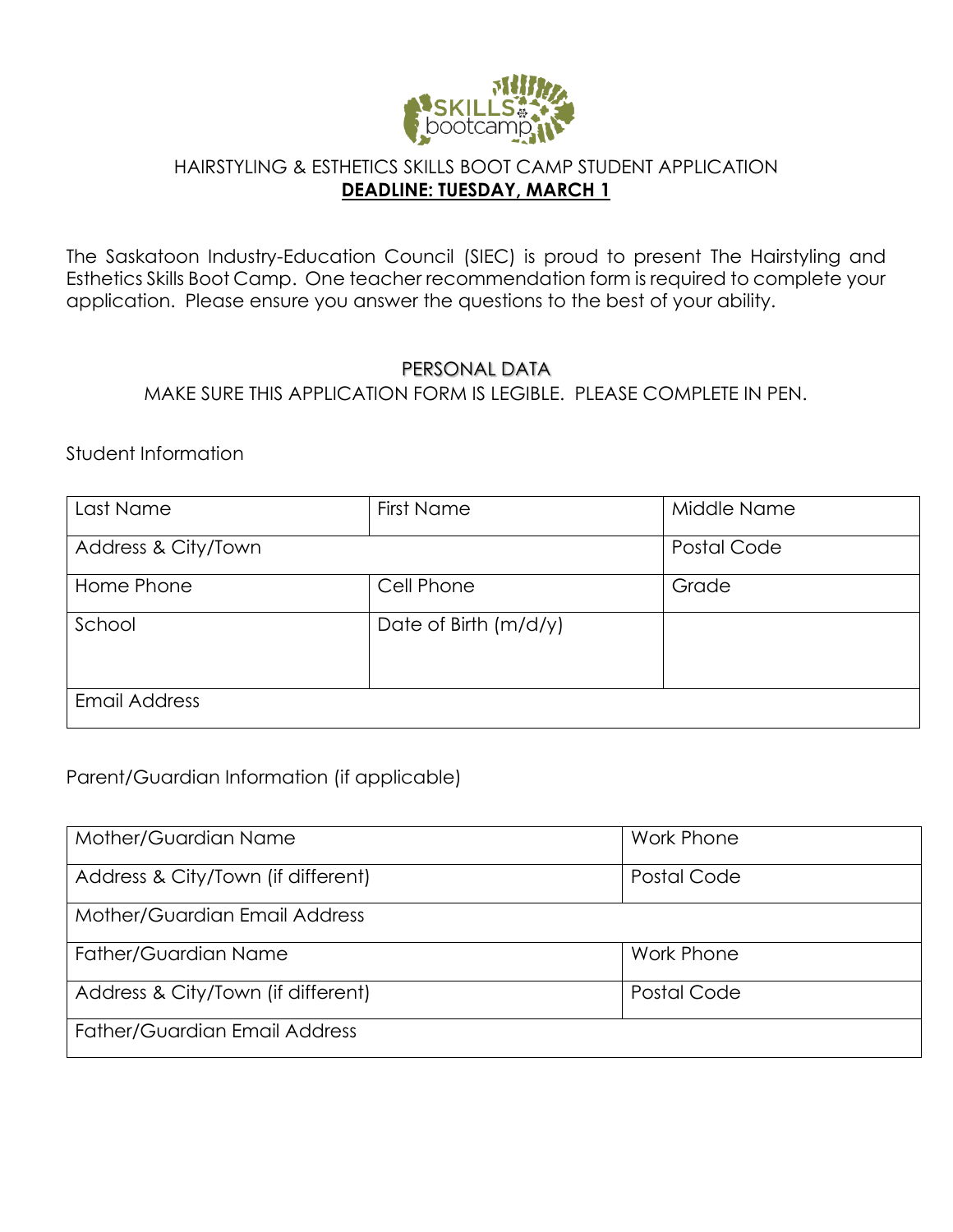

#### HAIRSTYLING & ESTHETICS SKILLS BOOT CAMP STUDENT APPLICATION **DEADLINE: TUESDAY, MARCH 1**

The Saskatoon Industry-Education Council (SIEC) is proud to present The Hairstyling and Esthetics Skills Boot Camp. One teacher recommendation form is required to complete your application. Please ensure you answer the questions to the best of your ability.

#### PERSONAL DATA

MAKE SURE THIS APPLICATION FORM IS LEGIBLE. PLEASE COMPLETE IN PEN.

Student Information

| Last Name            | <b>First Name</b>     | Middle Name |
|----------------------|-----------------------|-------------|
| Address & City/Town  |                       | Postal Code |
| Home Phone           | Cell Phone            | Grade       |
| School               | Date of Birth (m/d/y) |             |
| <b>Email Address</b> |                       |             |

## Parent/Guardian Information (if applicable)

| Mother/Guardian Name                 | Work Phone        |
|--------------------------------------|-------------------|
| Address & City/Town (if different)   | Postal Code       |
| Mother/Guardian Email Address        |                   |
| Father/Guardian Name                 | <b>Work Phone</b> |
| Address & City/Town (if different)   | Postal Code       |
| <b>Father/Guardian Email Address</b> |                   |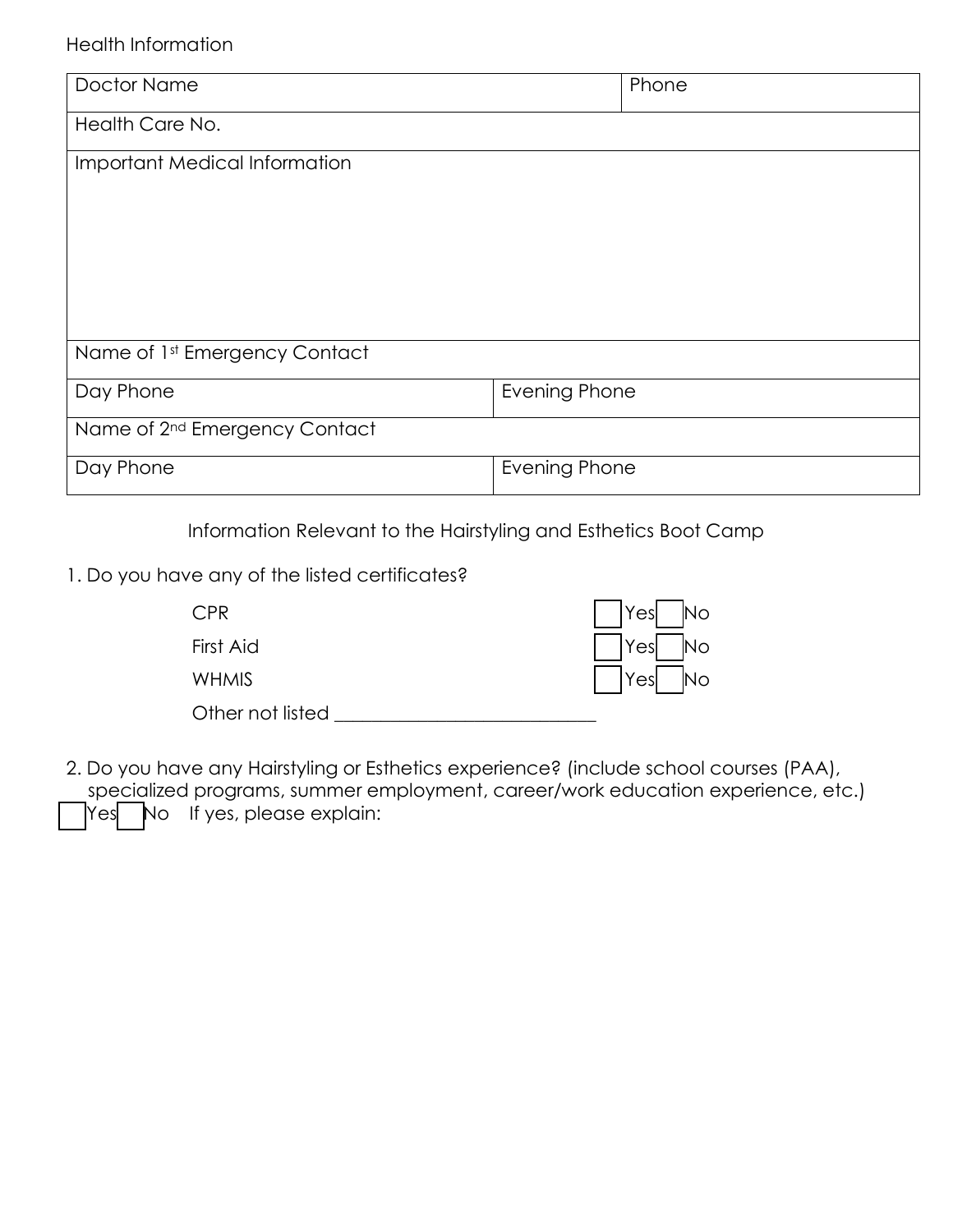# Health Information

| Doctor Name                               | Phone         |  |  |  |
|-------------------------------------------|---------------|--|--|--|
| Health Care No.                           |               |  |  |  |
| Important Medical Information             |               |  |  |  |
|                                           |               |  |  |  |
|                                           |               |  |  |  |
|                                           |               |  |  |  |
|                                           |               |  |  |  |
| Name of 1st Emergency Contact             |               |  |  |  |
| Day Phone                                 | Evening Phone |  |  |  |
| Name of 2 <sup>nd</sup> Emergency Contact |               |  |  |  |
| Day Phone                                 | Evening Phone |  |  |  |

Information Relevant to the Hairstyling and Esthetics Boot Camp

1. Do you have any of the listed certificates?

| CPR <sup>-</sup> | $ $ Yes $ $ No       |
|------------------|----------------------|
| First Aid        | $ $ $ $ Yes $ $ No   |
| <b>WHMIS</b>     | $\Box$ Yes $\Box$ No |
| Other not listed |                      |

2. Do you have any Hairstyling or Esthetics experience? (include school courses (PAA), specialized programs, summer employment, career/work education experience, etc.) Yes No If yes, please explain: